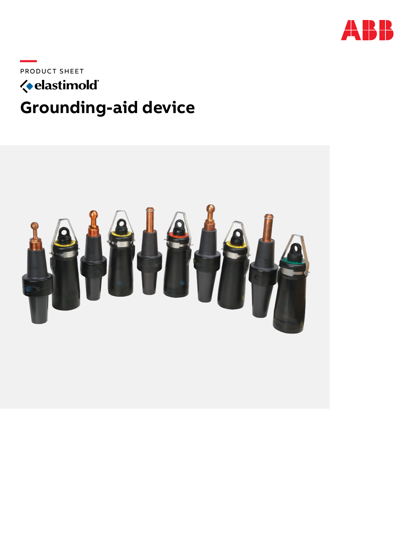

PRODUCT SHEET

## *<u></u>* elastimold **Grounding-aid device**